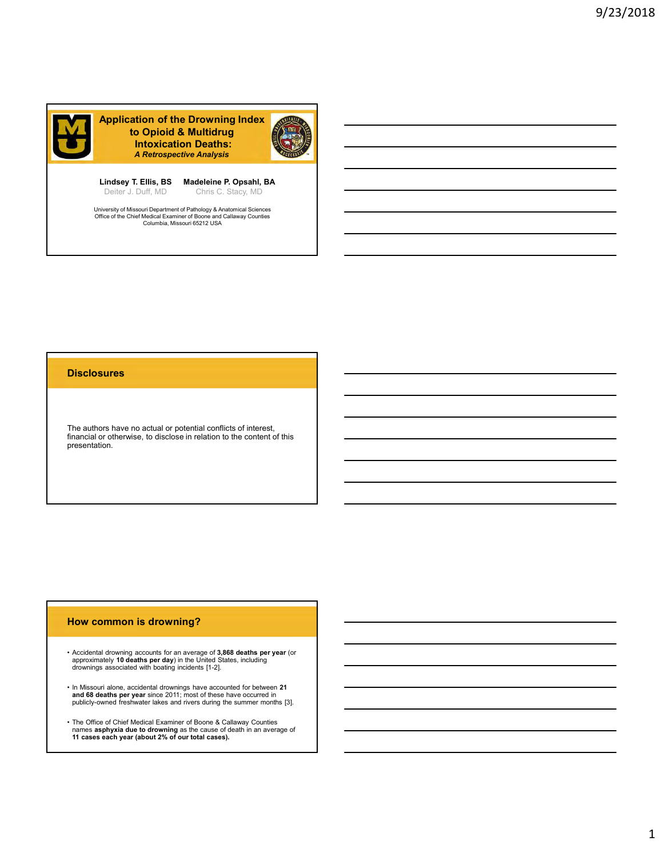

Lindsey T. Ellis, BS Madeleine P. Opsahl, BA

Deiter J. Duff, MD Chris C. Stacy, MD Chris C. Stacy, MD Christen Christian Christmas Control Christmas Christmas C

University of Missouri Department of Pathology & Anatomical Sciences<br>Office of the Chief Medical Examiner of Boone and Callaway Counties<br>Columbia, Missouri 65212 USA

#### **Disclosures**

The authors have no actual or potential conflicts of interest, financial or otherwise, to disclose in relation to the content of this presentation. **Disclosures**<br>
• The authors have no actual or potential conflicts of interest,<br>
Iflinancial or otherwise, to disclose in relation to the content of this<br>
• Freesentation.<br>
• Accidental drowning accounts for an average of The authors have no actual or potential conflicts of interest,<br>
financial or otherwise, to disclose in relation to the content of this<br>
presentation.<br>
<br> **How common is drowning?**<br>
<br> **Accidental drowning accounts for an eve** 

#### How common is drowning?

- approximately **10 deaths per day**) in the United States, including increases a control of the control of the cont<br>drownings associated with boating incidents [1-2].
- **and 68 deaths per year** since 2011; most of these have occurred in<br>publicly-owned freshwater lakes and rivers during the summer months [3].
- The Office of Chief Medical Examples of Chief Medical Examiners of Chief Medical Examiners of Chief Medical Examiners associated with boothy included [1-2]<br>
 Accidental drowning a streamed to an average of 3,868 deaths • The Office of Chief Medical Examiner of Boone & Callaway Counties<br>names asphyxia due to drowning as the cause of death in an average of<br>11 cases each year (about 2% of our total cases).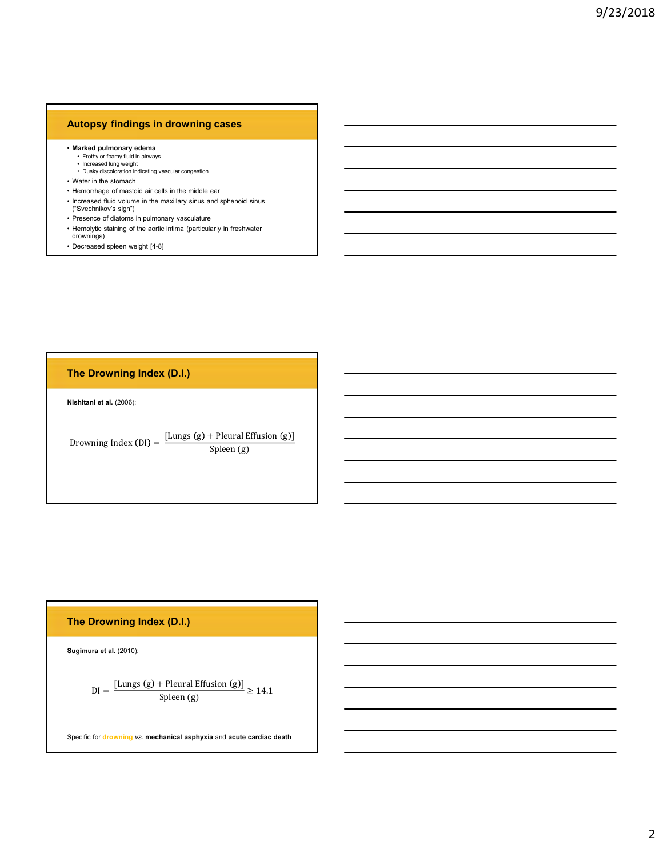## Autopsy findings in drowning cases

- 
- Marked pulmonary edema<br>• Frothy or foamy fluid in airways<br>• Increased lung weight<br>• Dusky discoloration indicating vascular congestion
- 
- 
- **Example 18 Analytical Indianal Science of Science of Science of Science of Science of Science of Science of Science of Science of Science of Property Conservation of the Science of Dramatic Property of Science of Mathemat Example 18 Alternation School School School School School School School School School School School School School School School School School School School School School School School School School School School School Sc Example 19 The School School School School School School School School School School School School School School School School School School School School School School School School School School School School School Sch Autopsy findings in drowning cases**<br>• Marked pulmonary edema<br>• Froily or fast my fluid in airways<br>• Increased lung weight<br>• Dusty stocknation indicating vacular congestion<br>• Water in the stomach<br>• Henorhage of matiod iai **Autopsy findings in drowning cases**<br>• Marked pulmonary edema<br>• Frothy or foamy fluid in airways<br>• Dusky discolonation indicating vascular congestion<br>• Wetter in the stormach<br>• Hemorrhage of mastoid air cells in the middl **Autopsy findings in drowning cases**<br>• Increased fung widdin aniways<br>• Increased fung weight<br>• Dusty discolvation indicating vascular congestion<br>• Water in the stomach<br>• Henrorhage of maticoli air cells in the matillary si Marked pulmonary edema<br>
Marked pulmonary edema<br>
- Therays clausy than the marked method vacadar congestion<br>
- Dusty discolusion indicating vacadar congestion<br>
Water in the stomach<br>
- Denoting of matsolic air cells in the m **Autopsy findings in drowning cases**<br>• Marked pulmonary edema<br>• Freshy of family all in <sup>anyay</sup><br>• I coused lung weight<br>• Henorhage of masolid air cells in the middle ear<br>• Henorhage of masolid air cells in the maxillary si **Autopsy findings in drowning cases**<br>• Marked pulmonary odenna<br>• Transvertice intervalsed and weaker the action of the aortic intervalsed and weaker in the storage of mastoliciar congestion<br>• Hemorrhage of mastolic air cel **Autopsy findings in drowning cases**<br>• Marked pulmonary edems<br>• Thereased ling weight <sup>almong</sup><br>• Dusky discolonion indicating variation congestion<br>• Wehr in the stormach of the spleed of the middle ear<br>• Hernorthage of mas
- 
- drownings)
- 

# The Drowning Index (D.I.)

**Autopsy findings in drowning cases**<br>
Interacted pulmonary edema<br>
Interacted lump weight<br>
Interacted lump variable compatible<br>
V Nish discussion in the most compatible compatible<br>
Interacted build values in the most compat - Control and the stress<br>
Choice is the stational are called the choice of the station g the station g the station g the station g the station g the station g three stations<br>
Personne of distinction g and solution verschi Spleen (g)

# The Drowning Index (D.I.)

Sugimura et al. (2010):

DI = [Lungs g + Pleural Effusion g ] Spleen (g) ≥ 14.1

Specific for drowning vs. mechanical asphyxia and acute cardiac death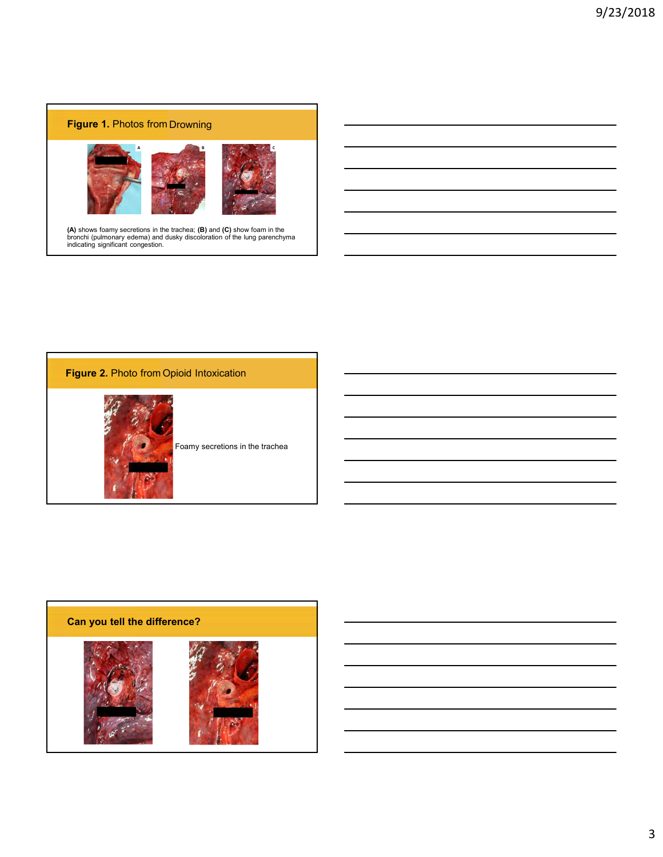



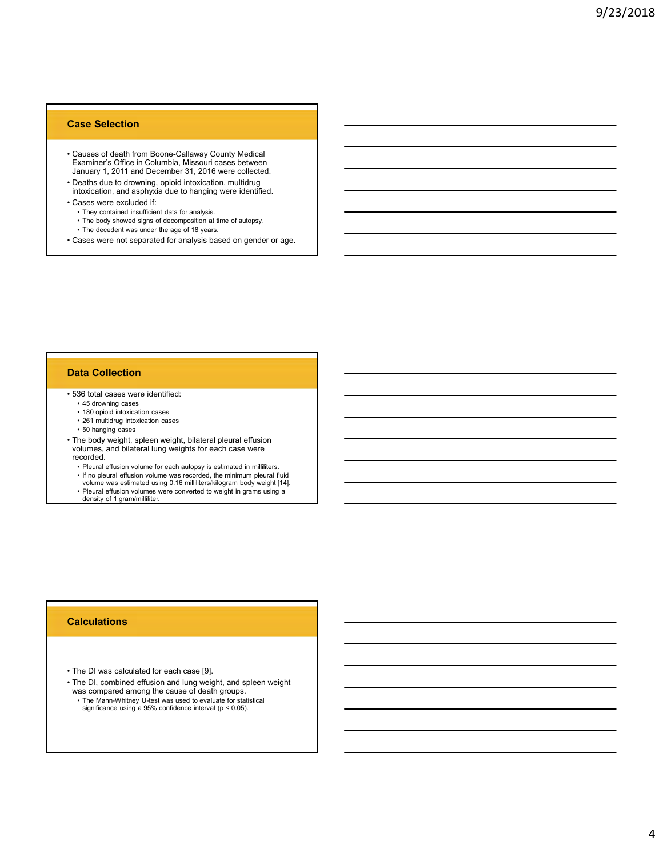## Case Selection

- **Case Selection**<br>• Causes of death from Boone-Callaway County Medical<br>• Examiner's Office in Columbia, Missouri cases between<br>• January 1, 2011 and December 31, 2016 were collected.<br>• Deaths due to drowning, opiod intoxica Examiner's Office in Columbia, Missouri cases between January 1, 2011 and December 31, 2016 were collected. **Case Selection**<br>• Causes of death from Boone-Callaway County Medical<br>• Examiner's Office in Columbia, Missouri cases between<br>• January 1, 2011 and December 31, 2016 were collected.<br>• Deaths due to drowning, opioid intoxic **Case Selection**<br>
• Causes of death from Boone-Callaway County Medical<br>
Examiner's Office in Columbia, Missouri cases between<br>
• January 1, 2011 and December 31, 2016 were collected.<br>
• Deaths due to drowning, opioid intox **Selection**<br> **Example 3**<br> **Example 3**<br> **Example 3**<br> **Example 3**<br> **Example 3**<br> **Example 3**<br> **Example 3**<br> **Example 3**<br> **Example 3**<br> **Example 3**<br> **Example 3**<br> **Example 3**<br> **Example 3**<br> **Example 3**<br> **Example 3**<br> **Example 3**<br> **respects of death from Boone-Callaway County Medical**<br>variatiner's Office in Columbia, Missouri cases between<br>manny 1, 2011 and December 31, 2016 were collected.<br>ealths due to drowning, opioid intoxication, multidrug<br>abso **Selection**<br>Faces of death from Boone-Callaway County Medical<br>Azamiers office in Columbia, Missouri cases between<br>manary 1, 2011 and December 31, 2016 were collected.<br>easts due to drowning, opioid intoxication, multidrug<br>d **Case Selection**<br>• Causes of death from Boone-Callaway Courty Medical<br>Examiner's Office in Columbia, Missouri cases between<br>January 1, 2011 and December 31, 2016 were collected.<br>• The case were collected if:<br>• Cases were c **Case Selection**<br>• Causes of death from Boone-Callaway County Madical<br>• Examiner's Office in Columbia, Missouri cases between<br>• January 1, 2011 and December 31, 2016 were collected.<br>• They counted in all cases were columbi **Selection**<br> **auses of death from Boone-Callaway County Medical<br>
auses of death from Boone-Callaway County Medical<br>
anulary 1, 2011 and December 31, 2016 were collected.<br>
earths due to drowning, opiold intoxication, multid Example 120**<br> **Example 180 opioid from Boone-Callaway County Medical<br>
scamper's Office in Columbia, Missouri cases between<br>
margin 1, 2011 and December 31, 2016 were collected.<br>
East were excluded if:<br>
the columbianty opi Example 12 multidrary and the controllant Columbia** which<br>
States of the columbia, Missouri cases between<br>
multiply and the controllation, and intervalsed and the controllation<br>
charged and a sphysical transform controlla auses of death from Boone-Callaway County Medical<br>
annuary 1, 2011 and December 31, 2016 were collected.<br>
eachs due to drowning, opiodi intoxication, multidrug<br>
asses were excluded if:<br>
The postylode difference in the anal
- Deaths due to drowning, opioid intoxication, multidrug<br>intoxication, and asphyxia due to hanging were identified.
- -
	-
	-
- 

### Data Collection

- -
	-
	-
- **Examine's Office in Columbia. Missouri cases between**<br>Ushamary 1, 2011 and December 31, 2016 were collected.<br> **Cases were excluded if:**<br>
Fracketion, and asphyxis due to hanging were identified.<br>
Fracketion, and asphyxis d volumes, and bilateral lung weights for each case were recorded.<br>
• Pleural effusion volume for each autopsy is estimated in milliliters.<br>
• Pleural effusion volume for each autopsy is estimated in milliliters. **each as our conventions)**, opinod introduction, multiditrig<br>asses were excluded if:<br>
• The bootstrated identified at a for analysis.<br>
• The bootstrated identified that a reader and comparison at line of autopsy.<br>
• The d toxication, and as pleural effusion volume for each autopsy.<br>
• They contained insulficient data for analysis.<br>
• The doct phose signs of decomposition at line of autopsy.<br>
• The docted was under the age of 18 years.<br>
• 4 ses were excluded if:<br>
They considered verticed using for analysis based on gender or app.<br>
The between was splitter the space of 13 years.<br>
The position of experimented for analysis based on gender or app.<br>
10. central ca • They contained insulficient data for analysis.<br>• The body showed signs of decomposition at the of autopsy.<br>• The decedent was under the age of 18 years.<br>• The disconsisted for analysis based on gender or age.<br>• 180 optic • S& total cases were identified:<br>• • 180 croid triaxiosian cases<br>• • 281 multidrug intoxication cases<br>• • 291 multidrug intoxication cases<br>• • The body weight, spleen weight, bilateral pleural effusion<br>• recorded.<br>• • The • 15 downing cases<br>• The Dody weight, spleed included priorities are controlled by weight, bilateral pleural effusion<br>• The Dody weight, spleed weight, bilateral pleural effusion<br>• volumes, and bilateral lung weights for e • 261 multiding introviction cases<br>• 50 hanging cases<br>• 50 hanging cases<br>• The Manufard Hung weights for each case were<br>correded.<br>• Pleural effusion volume for each autopsy is estimated in milliliters.<br>• The pleural effusi
	-
	-
	-
	- density of 1 gram/milliliter.

## **Calculations**

- 
- was compared among the cause of death groups.<br>• The Mann-Whitney U-test was used to evaluate for statistical
-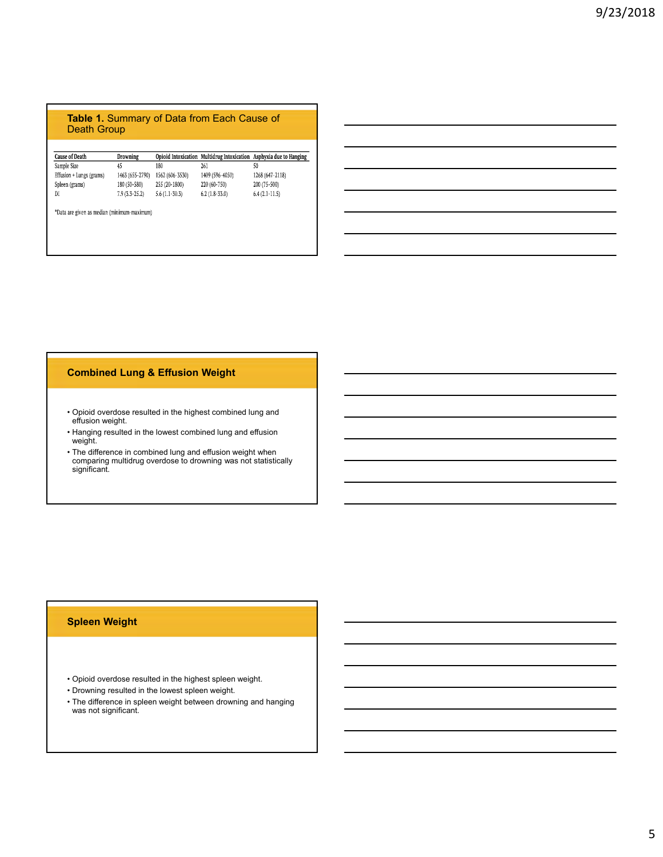## Table 1. Summary of Data from Each Cause of Death Group

| <b>Cause of Death</b>                       | Drowning        |                                            |                                                                                                                              | Opioid Intoxication Multidrug Intoxication Asphyxia due to Hanging |
|---------------------------------------------|-----------------|--------------------------------------------|------------------------------------------------------------------------------------------------------------------------------|--------------------------------------------------------------------|
| Sample Size                                 | 45              | 180                                        | 261                                                                                                                          | 50                                                                 |
| Effusion + Lungs (grams)                    | 1463 (655-2790) | 1562 (606-3530)                            | 1409 (596-4050)                                                                                                              | 1268 (647-2118)                                                    |
| Spleen (grams)                              | 180 (50-580)    | 255 (20 1800)                              | 220 (60-750)                                                                                                                 | 200 (75-500)                                                       |
| $\mathbb{N}$                                | $7.9(3.3-25.2)$ | $5.6(1.1-30.3)$                            | $6.2(1.8-33.0)$                                                                                                              | $6.4(2.1-11.5)$                                                    |
| "Data are given as median (minimum-maximum) |                 |                                            |                                                                                                                              |                                                                    |
|                                             |                 |                                            |                                                                                                                              |                                                                    |
|                                             |                 |                                            |                                                                                                                              |                                                                    |
|                                             |                 |                                            |                                                                                                                              |                                                                    |
|                                             |                 |                                            |                                                                                                                              |                                                                    |
|                                             |                 |                                            |                                                                                                                              |                                                                    |
|                                             |                 |                                            |                                                                                                                              |                                                                    |
|                                             |                 |                                            |                                                                                                                              |                                                                    |
|                                             |                 |                                            |                                                                                                                              |                                                                    |
|                                             |                 |                                            |                                                                                                                              |                                                                    |
|                                             |                 |                                            |                                                                                                                              |                                                                    |
|                                             |                 |                                            |                                                                                                                              |                                                                    |
|                                             |                 |                                            |                                                                                                                              |                                                                    |
|                                             |                 |                                            |                                                                                                                              |                                                                    |
|                                             |                 |                                            |                                                                                                                              |                                                                    |
|                                             |                 | <b>Combined Lung &amp; Effusion Weight</b> |                                                                                                                              |                                                                    |
|                                             |                 |                                            |                                                                                                                              |                                                                    |
|                                             |                 |                                            |                                                                                                                              |                                                                    |
| effusion weight.                            |                 |                                            | • Opioid overdose resulted in the highest combined lung and                                                                  |                                                                    |
|                                             |                 |                                            | • Hanging resulted in the lowest combined lung and effusion                                                                  |                                                                    |
| weight.                                     |                 |                                            |                                                                                                                              |                                                                    |
|                                             |                 |                                            | • The difference in combined lung and effusion weight when<br>comparing multidrug overdose to drowning was not statistically |                                                                    |
| significant.                                |                 |                                            |                                                                                                                              |                                                                    |
|                                             |                 |                                            |                                                                                                                              |                                                                    |
|                                             |                 |                                            |                                                                                                                              |                                                                    |

# Combined Lung & Effusion Weight

- Opioid overdose resulted in the highest combined lung and effusion weight.
- weight. **Example 20**
- comparing multidrug overdose to drowning was not statistically significant. • Opioid overdose resulted in the highest combined lung and<br>• Husion weight.<br>• Hanging resulted in the lowest combined lung and effusion<br>• Weight.<br>• Operation comparing multidrug overdose to drowning was not statistically<br> • Opiold overdose resulted in the highest combined lung and<br>• Hanging resulted in the lowest combined lung and effusion<br>• Weight Herence in combined lung and effusion weight when<br>• The difference in combined lung and effus • Flusion weight.<br>• Hanging resulted in the lowest combined lung and effusion<br>• The difference in combined lung and effusion weight when<br>• Comparing multidrug overdose to drowning was not statistically<br>• significant.<br>• Cpl

# Spleen Weight

- 
- 
- The difference in spleen weight between drowning and hanging was not significant.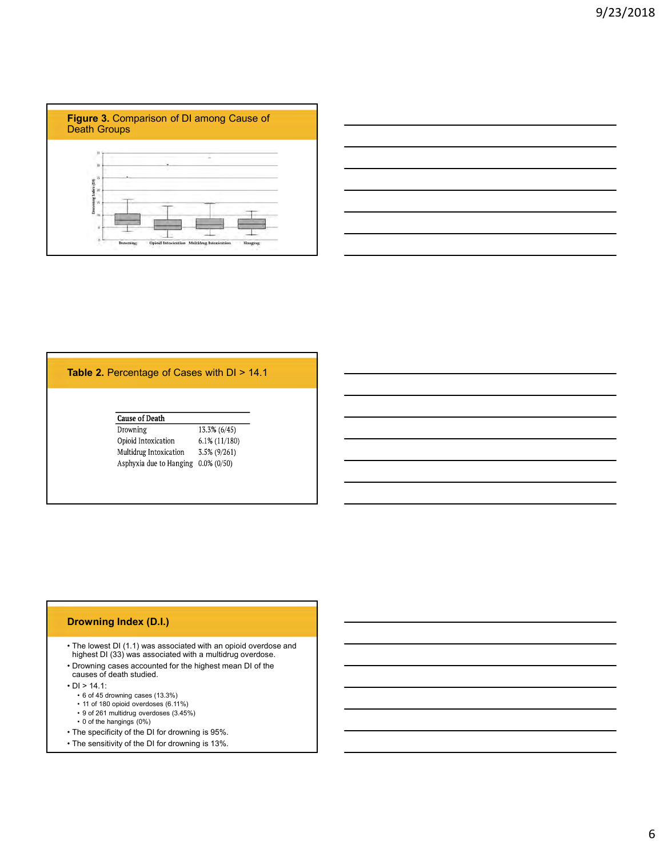

| the contract of the contract of the contract of the contract of the contract of                                      |  |  |
|----------------------------------------------------------------------------------------------------------------------|--|--|
| <u> 1989 - Andrea Santa Andrea Andrea Andrea Andrea Andrea Andrea Andrea Andrea Andrea Andrea Andrea Andrea Andr</u> |  |  |
|                                                                                                                      |  |  |
| <u> 1989 - Johann Stoff, amerikansk politiker (* 1908)</u>                                                           |  |  |
|                                                                                                                      |  |  |
|                                                                                                                      |  |  |

# Table 2. Percentage of Cases with DI > 14.1

| <b>Cause of Death</b>                                                                                                                                                                                                                                                                                         |                                                  |  |  |
|---------------------------------------------------------------------------------------------------------------------------------------------------------------------------------------------------------------------------------------------------------------------------------------------------------------|--------------------------------------------------|--|--|
| Drowning<br>Opioid Intoxication<br>Multidrug Intoxication<br>Asphyxia due to Hanging $0.0\%$ (0/50)                                                                                                                                                                                                           | 13.3% (6/45)<br>$6.1\%$ (11/180)<br>3.5% (9/261) |  |  |
|                                                                                                                                                                                                                                                                                                               |                                                  |  |  |
|                                                                                                                                                                                                                                                                                                               |                                                  |  |  |
|                                                                                                                                                                                                                                                                                                               |                                                  |  |  |
|                                                                                                                                                                                                                                                                                                               |                                                  |  |  |
|                                                                                                                                                                                                                                                                                                               |                                                  |  |  |
|                                                                                                                                                                                                                                                                                                               |                                                  |  |  |
|                                                                                                                                                                                                                                                                                                               |                                                  |  |  |
|                                                                                                                                                                                                                                                                                                               |                                                  |  |  |
| highest DI (33) was associated with a multidrug overdose.<br>causes of death studied.                                                                                                                                                                                                                         |                                                  |  |  |
| • 6 of 45 drowning cases (13.3%)<br>• 11 of 180 opioid overdoses (6.11%)                                                                                                                                                                                                                                      |                                                  |  |  |
| <b>Drowning Index (D.I.)</b><br>. The lowest DI (1.1) was associated with an opioid overdose and<br>• Drowning cases accounted for the highest mean DI of the<br>$\cdot$ DI > 14.1:<br>• 9 of 261 multidrug overdoses (3.45%)<br>• 0 of the hangings (0%)<br>• The specificity of the DI for drowning is 95%. |                                                  |  |  |

# Drowning Index (D.I.)

- The lowest DI (1.1) was associated with an opioid overdose and highest DI (33) was associated with a multidrug overdose. 9 opid Intoxication 6.1% (1/1/8)<br>
Multiding Introdicction 5.5% (9/261)<br>
Asphyxia due to Hanging 0.0% (0/50)<br>
Asphyxia due to Hanging 0.0% (0/50)<br>
<br> **COMBINE AND CONSECUTE 1.1, 1**<br> **COMBINE AND CONSECUTE AND CONSECUTE AN** Multidrug Intoxication 5.5% (9/261)<br>
Asphyxia due to Hanging 0.0% (0/50)<br>
The lowest DI (1.1) was associated with an opiold overdose and<br>
highest DI (33) was associated with an opiold overdose.<br>
Disconsition (33) was assoc Asphyxia due to Hanging 0.0% (0.50)<br>
• The lowest DI (1.1) was associated with an opioid overdose and<br>
highest DI (33) was associated with a multidrug overdose.<br>
• Drowning cases cocounted for the highest mean DI of the<br>
- Drowning cases accounted for the highest mean DI of the causes of death studied.
- -
	-
	-
	-
- 
-